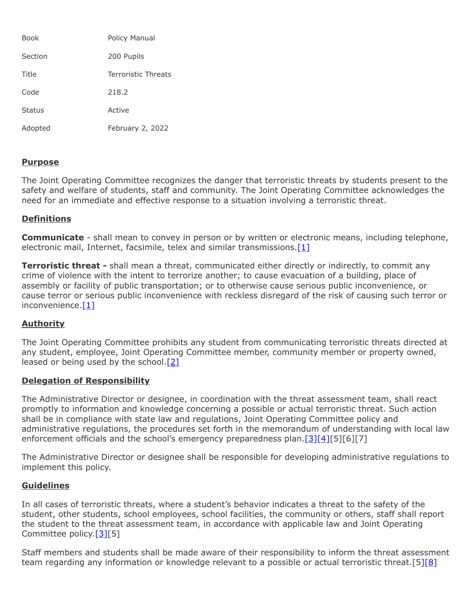| Book          | Policy Manual              |
|---------------|----------------------------|
| Section       | 200 Pupils                 |
| Title         | <b>Terroristic Threats</b> |
| Code          | 218.2                      |
| <b>Status</b> | Active                     |
| Adopted       | February 2, 2022           |

## **Purpose**

The Joint Operating Committee recognizes the danger that terroristic threats by students present to the safety and welfare of students, staff and community. The Joint Operating Committee acknowledges the need for an immediate and effective response to a situation involving a terroristic threat.

## **Definitions**

**Communicate** - shall mean to convey in person or by written or electronic means, including telephone, electronic mail, Internet, facsimile, telex and similar transmissions. $[1]$ 

**Terroristic threat -** shall mean a threat, communicated either directly or indirectly, to commit any crime of violence with the intent to terrorize another; to cause evacuation of a building, place of assembly or facility of public transportation; or to otherwise cause serious public inconvenience, or cause terror or serious public inconvenience with reckless disregard of the risk of causing such terror or inconvenience. $[1]$ 

# **Authority**

The Joint Operating Committee prohibits any student from communicating terroristic threats directed at any student, employee, Joint Operating Committee member, community member or property owned, leased or being used by the school. $[2]$ 

## **Delegation of Responsibility**

The Administrative Director or designee, in coordination with the threat assessment team, shall react promptly to information and knowledge concerning a possible or actual terroristic threat. Such action shall be in compliance with state law and regulations, Joint Operating Committee policy and administrative regulations, the procedures set forth in the memorandum of understanding with local law enforcement officials and the school's emergency preparedness plan.<sup>[\[3\]](https://www.legis.state.pa.us/cfdocs/legis/LI/uconsCheck.cfm?txtType=HTM&yr=1949&sessInd=0&smthLwInd=0&act=14&chpt=13E&sctn=2&subsctn=0)[\[4\]](http://www.legis.state.pa.us/cfdocs/legis/LI/uconsCheck.cfm?txtType=HTM&yr=1949&sessInd=0&smthLwInd=0&act=14&chpt=13A&sctn=2&subsctn=1)[5][6][7]</sup>

The Administrative Director or designee shall be responsible for developing administrative regulations to implement this policy.

## **Guidelines**

In all cases of terroristic threats, where a student's behavior indicates a threat to the safety of the student, other students, school employees, school facilities, the community or others, staff shall report the student to the threat assessment team, in accordance with applicable law and Joint Operating Committee policy.<sup>[\[3\]\[](https://www.legis.state.pa.us/cfdocs/legis/LI/uconsCheck.cfm?txtType=HTM&yr=1949&sessInd=0&smthLwInd=0&act=14&chpt=13E&sctn=2&subsctn=0)5]</sup>

Staff members and students shall be made aware of their responsibility to inform the threat assessment team regarding any information or knowledge relevant to a possible or actual terroristic threat.[5][\[8\]](http://pacodeandbulletin.gov/Display/pacode?file=/secure/pacode/data/022/chapter12/s12.2.html&d=reduce)